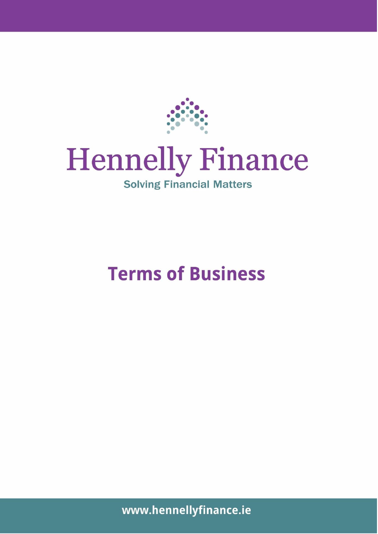

# **Hennelly Finance**

## **Solving Financial Matters**

# **Terms of Business**

*Hennelly Financial Services Ltd. T/A/ Mortgages 4 U 24/7 & Hennelly Finance is regulated by the Central Bank of Ireland. Directors H. Hennelly, R. Hennelly. Registered in Ireland, Company Reg No: 32727*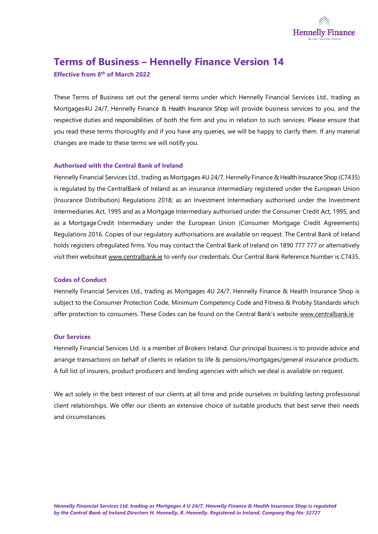

### **Terms of Business – Hennelly Finance Version 14**

**Effective from 8 th of March 2022**

These Terms of Business set out the general terms under which Hennelly Financial Services Ltd., trading as Mortgages4U 24/7, Hennelly Finance & Health Insurance Shop will provide business services to you, and the respective duties and responsibilities of both the firm and you in relation to such services. Please ensure that you read these terms thoroughly and if you have any queries, we will be happy to clarify them. If any material changes are made to these terms we will notify you.

#### **Authorised with the Central Bank of Ireland**

Hennelly Financial Services Ltd., trading as Mortgages 4U 24/7, Hennelly Finance & Health Insurance Shop (C7435) is regulated by the CentralBank of Ireland as an insurance intermediary registered under the European Union (Insurance Distribution) Regulations 2018; as an Investment Intermediary authorised under the Investment Intermediaries Act, 1995 and as a Mortgage Intermediary authorised under the Consumer Credit Act, 1995, and as a MortgageCredit Intermediary under the European Union (Consumer Mortgage Credit Agreements) Regulations 2016. Copies of our regulatory authorisations are available on request. The Central Bank of Ireland holds registers ofregulated firms. You may contact the Central Bank of Ireland on 1890 777 777 or alternatively visit their websiteat [www.centralbank.ie](http://www.centralbank.ie/) to verify our credentials. Our Central Bank Reference Number is C7435.

#### **Codes of Conduct**

Hennelly Financial Services Ltd., trading as Mortgages 4U 24/7, Hennelly Finance & Health Insurance Shop is subject to the Consumer Protection Code, Minimum Competency Code and Fitness & Probity Standards which offer protection to consumers. These Codes can be found on the Central Bank's website [www.centralbank.ie](http://www.centralbank.ie/)

#### **Our Services**

Hennelly Financial Services Ltd. is a member of Brokers Ireland. Our principal business is to provide advice and arrange transactions on behalf of clients in relation to life & pensions/mortgages/general insurance products. A full list of insurers, product producers and lending agencies with which we deal is available on request.

We act solely in the best interest of our clients at all time and pride ourselves in building lasting professional client relationships. We offer our clients an extensive choice of suitable products that best serve their needs and circumstances.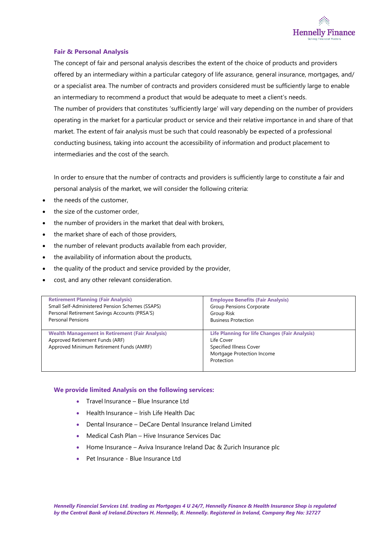

#### **Fair & Personal Analysis**

The concept of fair and personal analysis describes the extent of the choice of products and providers offered by an intermediary within a particular category of life assurance, general insurance, mortgages, and/ or a specialist area. The number of contracts and providers considered must be sufficiently large to enable an intermediary to recommend a product that would be adequate to meet a client's needs. The number of providers that constitutes 'sufficiently large' will vary depending on the number of providers operating in the market for a particular product or service and their relative importance in and share of that market. The extent of fair analysis must be such that could reasonably be expected of a professional conducting business, taking into account the accessibility of information and product placement to intermediaries and the cost of the search.

In order to ensure that the number of contracts and providers is sufficiently large to constitute a fair and personal analysis of the market, we will consider the following criteria:

- the needs of the customer.
- the size of the customer order.
- the number of providers in the market that deal with brokers,
- the market share of each of those providers,
- the number of relevant products available from each provider,
- the availability of information about the products,
- the quality of the product and service provided by the provider,
- cost, and any other relevant consideration.

| <b>Retirement Planning (Fair Analysis)</b>                                                                                            | <b>Employee Benefits (Fair Analysis)</b>                                                                                                   |
|---------------------------------------------------------------------------------------------------------------------------------------|--------------------------------------------------------------------------------------------------------------------------------------------|
| Small Self-Administered Pension Schemes (SSAPS)                                                                                       | <b>Group Pensions Corporate</b>                                                                                                            |
| Personal Retirement Savings Accounts (PRSA'S)                                                                                         | Group Risk                                                                                                                                 |
| <b>Personal Pensions</b>                                                                                                              | <b>Business Protection</b>                                                                                                                 |
| <b>Wealth Management in Retirement (Fair Analysis)</b><br>Approved Retirement Funds (ARF)<br>Approved Minimum Retirement Funds (AMRF) | <b>Life Planning for life Changes (Fair Analysis)</b><br>Life Cover<br>Specified Illness Cover<br>Mortgage Protection Income<br>Protection |

#### **We provide limited Analysis on the following services:**

- Travel Insurance Blue Insurance Ltd
- Health Insurance Irish Life Health Dac
- Dental Insurance DeCare Dental Insurance Ireland Limited
- Medical Cash Plan Hive Insurance Services Dac
- Home Insurance Aviva Insurance Ireland Dac & Zurich Insurance plc
- Pet Insurance Blue Insurance Ltd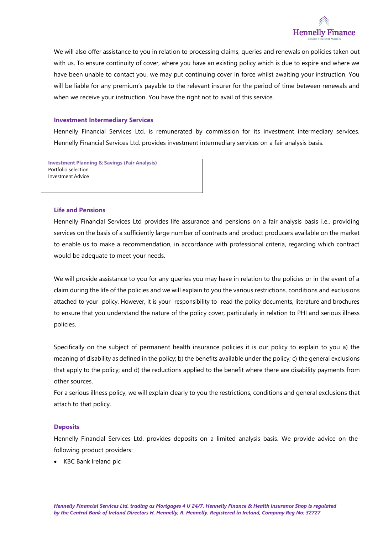

We will also offer assistance to you in relation to processing claims, queries and renewals on policies taken out with us. To ensure continuity of cover, where you have an existing policy which is due to expire and where we have been unable to contact you, we may put continuing cover in force whilst awaiting your instruction. You will be liable for any premium's payable to the relevant insurer for the period of time between renewals and when we receive your instruction. You have the right not to avail of this service.

#### **Investment Intermediary Services**

Hennelly Financial Services Ltd. is remunerated by commission for its investment intermediary services. Hennelly Financial Services Ltd. provides investment intermediary services on a fair analysis basis.

**Investment Planning & Savings (Fair Analysis)** Portfolio selection Investment Advice

#### **Life and Pensions**

Hennelly Financial Services Ltd provides life assurance and pensions on a fair analysis basis i.e., providing services on the basis of a sufficiently large number of contracts and product producers available on the market to enable us to make a recommendation, in accordance with professional criteria, regarding which contract would be adequate to meet your needs.

We will provide assistance to you for any queries you may have in relation to the policies or in the event of a claim during the life of the policies and we will explain to you the various restrictions, conditions and exclusions attached to your policy. However, it is your responsibility to read the policy documents, literature and brochures to ensure that you understand the nature of the policy cover, particularly in relation to PHI and serious illness policies.

Specifically on the subject of permanent health insurance policies it is our policy to explain to you a) the meaning of disability as defined in the policy; b) the benefits available under the policy; c) the general exclusions that apply to the policy; and d) the reductions applied to the benefit where there are disability payments from other sources.

For a serious illness policy, we will explain clearly to you the restrictions, conditions and general exclusions that attach to that policy.

#### **Deposits**

Hennelly Financial Services Ltd. provides deposits on a limited analysis basis. We provide advice on the following product providers:

• KBC Bank Ireland plc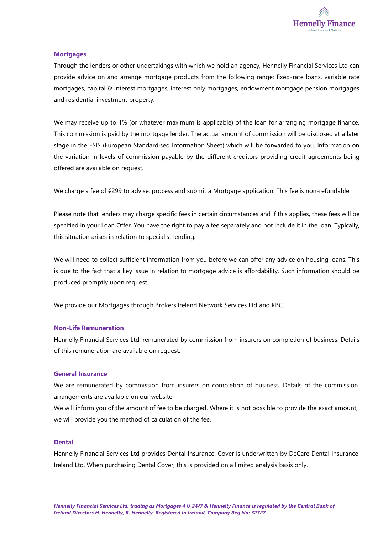

#### **Mortgages**

Through the lenders or other undertakings with which we hold an agency, Hennelly Financial Services Ltd can provide advice on and arrange mortgage products from the following range: fixed-rate loans, variable rate mortgages, capital & interest mortgages, interest only mortgages, endowment mortgage pension mortgages and residential investment property.

We may receive up to 1% (or whatever maximum is applicable) of the loan for arranging mortgage finance. This commission is paid by the mortgage lender. The actual amount of commission will be disclosed at a later stage in the ESIS (European Standardised Information Sheet) which will be forwarded to you. Information on the variation in levels of commission payable by the different creditors providing credit agreements being offered are available on request.

We charge a fee of €299 to advise, process and submit a Mortgage application. This fee is non-refundable.

Please note that lenders may charge specific fees in certain circumstances and if this applies, these fees will be specified in your Loan Offer. You have the right to pay a fee separately and not include it in the loan. Typically, this situation arises in relation to specialist lending.

We will need to collect sufficient information from you before we can offer any advice on housing loans. This is due to the fact that a key issue in relation to mortgage advice is affordability. Such information should be produced promptly upon request.

We provide our Mortgages through Brokers Ireland Network Services Ltd and KBC.

#### **Non-Life Remuneration**

Hennelly Financial Services Ltd. remunerated by commission from insurers on completion of business. Details of this remuneration are available on request.

#### **General Insurance**

We are remunerated by commission from insurers on completion of business. Details of the commission arrangements are available on our website.

We will inform you of the amount of fee to be charged. Where it is not possible to provide the exact amount, we will provide you the method of calculation of the fee.

#### **Dental**

Hennelly Financial Services Ltd provides Dental Insurance. Cover is underwritten by DeCare Dental Insurance Ireland Ltd. When purchasing Dental Cover, this is provided on a limited analysis basis only.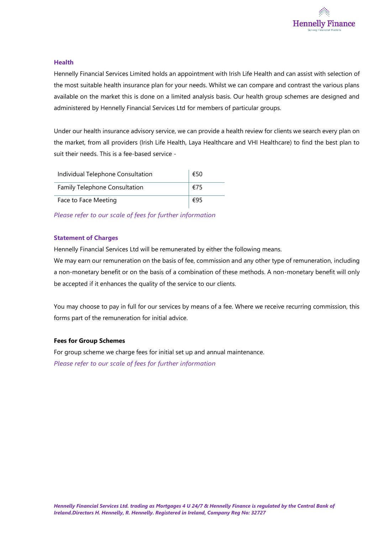

#### **Health**

Hennelly Financial Services Limited holds an appointment with Irish Life Health and can assist with selection of the most suitable health insurance plan for your needs. Whilst we can compare and contrast the various plans available on the market this is done on a limited analysis basis. Our health group schemes are designed and administered by Hennelly Financial Services Ltd for members of particular groups.

Under our health insurance advisory service, we can provide a health review for clients we search every plan on the market, from all providers (Irish Life Health, Laya Healthcare and VHI Healthcare) to find the best plan to suit their needs. This is a fee-based service -

| Individual Telephone Consultation | €50 |
|-----------------------------------|-----|
| Family Telephone Consultation     | €75 |
| Face to Face Meeting              | €95 |

*Please refer to our scale of fees for further information*

#### **Statement of Charges**

Hennelly Financial Services Ltd will be remunerated by either the following means.

We may earn our remuneration on the basis of fee, commission and any other type of remuneration, including a non-monetary benefit or on the basis of a combination of these methods. A non-monetary benefit will only be accepted if it enhances the quality of the service to our clients.

You may choose to pay in full for our services by means of a fee. Where we receive recurring commission, this forms part of the remuneration for initial advice.

#### **Fees for Group Schemes**

For group scheme we charge fees for initial set up and annual maintenance. *Please refer to our scale of fees for further information*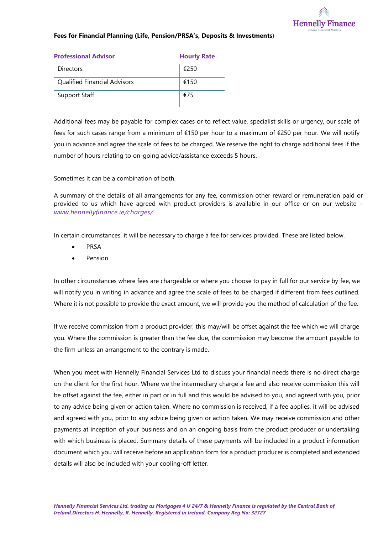

#### **Fees for Financial Planning (Life, Pension/PRSA's, Deposits & Investments**)

| <b>Professional Advisor</b><br><b>Hourly Rate</b> |      |
|---------------------------------------------------|------|
| Directors                                         | €250 |
| <b>Qualified Financial Advisors</b>               | €150 |
| <b>Support Staff</b>                              | €75  |

Additional fees may be payable for complex cases or to reflect value, specialist skills or urgency, our scale of fees for such cases range from a minimum of €150 per hour to a maximum of €250 per hour. We will notify you in advance and agree the scale of fees to be charged. We reserve the right to charge additional fees if the number of hours relating to on-going advice/assistance exceeds 5 hours.

Sometimes it can be a combination of both.

A summary of the details of all arrangements for any fee, commission other reward or remuneration paid or provided to us which have agreed with product providers is available in our office or on our website – *www.hennellyfinance.ie/charges/*

In certain circumstances, it will be necessary to charge a fee for services provided. These are listed below.

- PRSA
- Pension

In other circumstances where fees are chargeable or where you choose to pay in full for our service by fee, we will notify you in writing in advance and agree the scale of fees to be charged if different from fees outlined. Where it is not possible to provide the exact amount, we will provide you the method of calculation of the fee.

If we receive commission from a product provider, this may/will be offset against the fee which we will charge you. Where the commission is greater than the fee due, the commission may become the amount payable to the firm unless an arrangement to the contrary is made.

When you meet with Hennelly Financial Services Ltd to discuss your financial needs there is no direct charge on the client for the first hour. Where we the intermediary charge a fee and also receive commission this will be offset against the fee, either in part or in full and this would be advised to you, and agreed with you, prior to any advice being given or action taken. Where no commission is received, if a fee applies, it will be advised and agreed with you, prior to any advice being given or action taken. We may receive commission and other payments at inception of your business and on an ongoing basis from the product producer or undertaking with which business is placed. Summary details of these payments will be included in a product information document which you will receive before an application form for a product producer is completed and extended details will also be included with your cooling-off letter.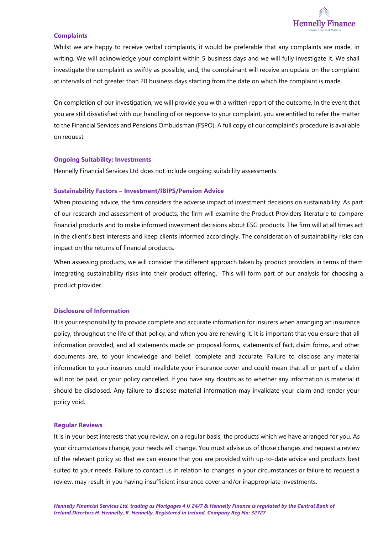

#### **Complaints**

Whilst we are happy to receive verbal complaints, it would be preferable that any complaints are made, in writing. We will acknowledge your complaint within 5 business days and we will fully investigate it. We shall investigate the complaint as swiftly as possible, and, the complainant will receive an update on the complaint at intervals of not greater than 20 business days starting from the date on which the complaint is made.

On completion of our investigation, we will provide you with a written report of the outcome. In the event that you are still dissatisfied with our handling of or response to your complaint, you are entitled to refer the matter to the Financial Services and Pensions Ombudsman (FSPO). A full copy of our complaint's procedure is available on request.

#### **Ongoing Suitability: Investments**

Hennelly Financial Services Ltd does not include ongoing suitability assessments.

#### **Sustainability Factors – Investment/IBIPS/Pension Advice**

When providing advice, the firm considers the adverse impact of investment decisions on sustainability. As part of our research and assessment of products, the firm will examine the Product Providers literature to compare financial products and to make informed investment decisions about ESG products. The firm will at all times act in the client's best interests and keep clients informed accordingly. The consideration of sustainability risks can impact on the returns of financial products.

When assessing products, we will consider the different approach taken by product providers in terms of them integrating sustainability risks into their product offering. This will form part of our analysis for choosing a product provider.

#### **Disclosure of Information**

It is your responsibility to provide complete and accurate information for insurers when arranging an insurance policy, throughout the life of that policy, and when you are renewing it. It is important that you ensure that all information provided, and all statements made on proposal forms, statements of fact, claim forms, and other documents are, to your knowledge and belief, complete and accurate. Failure to disclose any material information to your insurers could invalidate your insurance cover and could mean that all or part of a claim will not be paid, or your policy cancelled. If you have any doubts as to whether any information is material it should be disclosed. Any failure to disclose material information may invalidate your claim and render your policy void.

#### **Regular Reviews**

It is in your best interests that you review, on a regular basis, the products which we have arranged for you. As your circumstances change, your needs will change. You must advise us of those changes and request a review of the relevant policy so that we can ensure that you are provided with up-to-date advice and products best suited to your needs. Failure to contact us in relation to changes in your circumstances or failure to request a review, may result in you having insufficient insurance cover and/or inappropriate investments.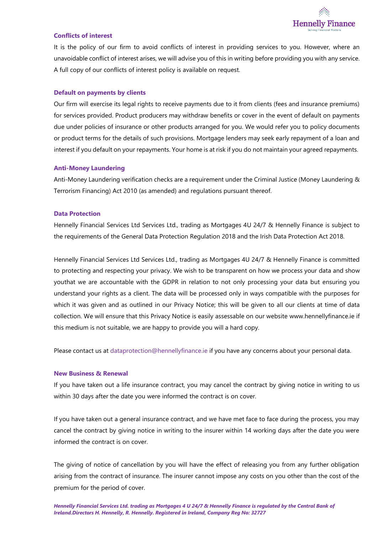

#### **Conflicts of interest**

It is the policy of our firm to avoid conflicts of interest in providing services to you. However, where an unavoidable conflict of interest arises, we will advise you of this in writing before providing you with any service. A full copy of our conflicts of interest policy is available on request.

#### **Default on payments by clients**

Our firm will exercise its legal rights to receive payments due to it from clients (fees and insurance premiums) for services provided. Product producers may withdraw benefits or cover in the event of default on payments due under policies of insurance or other products arranged for you. We would refer you to policy documents or product terms for the details of such provisions. Mortgage lenders may seek early repayment of a loan and interest if you default on your repayments. Your home is at risk if you do not maintain your agreed repayments.

#### **Anti-Money Laundering**

Anti-Money Laundering verification checks are a requirement under the Criminal Justice (Money Laundering & Terrorism Financing) Act 2010 (as amended) and regulations pursuant thereof.

#### **Data Protection**

Hennelly Financial Services Ltd Services Ltd., trading as Mortgages 4U 24/7 & Hennelly Finance is subject to the requirements of the General Data Protection Regulation 2018 and the Irish Data Protection Act 2018.

Hennelly Financial Services Ltd Services Ltd., trading as Mortgages 4U 24/7 & Hennelly Finance is committed to protecting and respecting your privacy. We wish to be transparent on how we process your data and show youthat we are accountable with the GDPR in relation to not only processing your data but ensuring you understand your rights as a client. The data will be processed only in ways compatible with the purposes for which it was given and as outlined in our Privacy Notice; this will be given to all our clients at time of data collection. We will ensure that this Privacy Notice is easily assessable on our website [www.hennellyfinance.ie i](http://www.hennellyfinance.ie/)f this medium is not suitable, we are happy to provide you will a hard copy.

Please contact us at [dataprotection@hennellyfinance.ie if](mailto:dataprotection@hennellyfinance.ie) you have any concerns about your personal data.

#### **New Business & Renewal**

If you have taken out a life insurance contract, you may cancel the contract by giving notice in writing to us within 30 days after the date you were informed the contract is on cover.

If you have taken out a general insurance contract, and we have met face to face during the process, you may cancel the contract by giving notice in writing to the insurer within 14 working days after the date you were informed the contract is on cover.

The giving of notice of cancellation by you will have the effect of releasing you from any further obligation arising from the contract of insurance. The insurer cannot impose any costs on you other than the cost of the premium for the period of cover.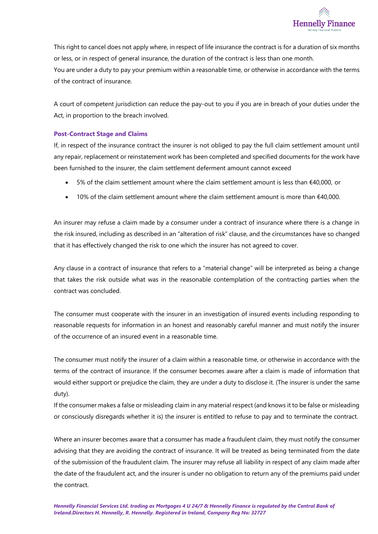

This right to cancel does not apply where, in respect of life insurance the contract is for a duration of six months or less, or in respect of general insurance, the duration of the contract is less than one month. You are under a duty to pay your premium within a reasonable time, or otherwise in accordance with the terms of the contract of insurance.

A court of competent jurisdiction can reduce the pay-out to you if you are in breach of your duties under the Act, in proportion to the breach involved.

#### **Post-Contract Stage and Claims**

If, in respect of the insurance contract the insurer is not obliged to pay the full claim settlement amount until any repair, replacement or reinstatement work has been completed and specified documents for the work have been furnished to the insurer, the claim settlement deferment amount cannot exceed

- 5% of the claim settlement amount where the claim settlement amount is less than €40,000, or
- 10% of the claim settlement amount where the claim settlement amount is more than €40,000.

An insurer may refuse a claim made by a consumer under a contract of insurance where there is a change in the risk insured, including as described in an "alteration of risk" clause, and the circumstances have so changed that it has effectively changed the risk to one which the insurer has not agreed to cover.

Any clause in a contract of insurance that refers to a "material change" will be interpreted as being a change that takes the risk outside what was in the reasonable contemplation of the contracting parties when the contract was concluded.

The consumer must cooperate with the insurer in an investigation of insured events including responding to reasonable requests for information in an honest and reasonably careful manner and must notify the insurer of the occurrence of an insured event in a reasonable time.

The consumer must notify the insurer of a claim within a reasonable time, or otherwise in accordance with the terms of the contract of insurance. If the consumer becomes aware after a claim is made of information that would either support or prejudice the claim, they are under a duty to disclose it. (The insurer is under the same duty).

If the consumer makes a false or misleading claim in any material respect (and knows it to be false or misleading or consciously disregards whether it is) the insurer is entitled to refuse to pay and to terminate the contract.

Where an insurer becomes aware that a consumer has made a fraudulent claim, they must notify the consumer advising that they are avoiding the contract of insurance. It will be treated as being terminated from the date of the submission of the fraudulent claim. The insurer may refuse all liability in respect of any claim made after the date of the fraudulent act, and the insurer is under no obligation to return any of the premiums paid under the contract.